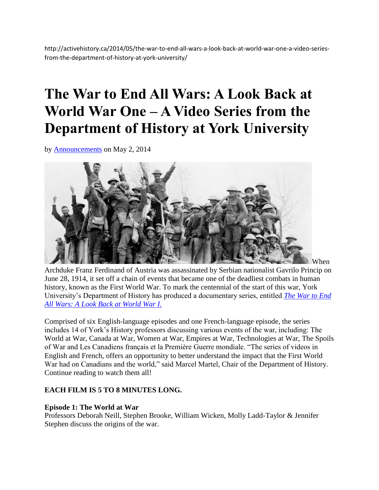http://activehistory.ca/2014/05/the-war-to-end-all-wars-a-look-back-at-world-war-one-a-video-seriesfrom-the-department-of-history-at-york-university/

# **The War to End All Wars: A Look Back at World War One – A Video Series from the Department of History at York University**

by [Announcements](http://activehistory.ca/author/announcements/) on May 2, 2014



Archduke Franz Ferdinand of Austria was assassinated by Serbian nationalist Gavrilo Princip on June 28, 1914, it set off a chain of events that became one of the deadliest combats in human history, known as the First World War. To mark the centennial of the start of this war, York University's Department of History has produced a documentary series, entitled *[The War to End](http://www.yorku.ca/laps/ww1/)  [All Wars: A Look Back at World War I.](http://www.yorku.ca/laps/ww1/)*

Comprised of six English-language episodes and one French-language episode, the series includes 14 of York's History professors discussing various events of the war, including: The World at War, Canada at War, Women at War, Empires at War, Technologies at War, The Spoils of War and Les Canadiens français et la Première Guerre mondiale. "The series of videos in English and French, offers an opportunity to better understand the impact that the First World War had on Canadians and the world," said Marcel Martel, Chair of the Department of History. Continue reading to watch them all!

## **EACH FILM IS 5 TO 8 MINUTES LONG.**

## **Episode 1: The World at War**

Professors Deborah Neill, Stephen Brooke, William Wicken, Molly Ladd-Taylor & Jennifer Stephen discuss the origins of the war.